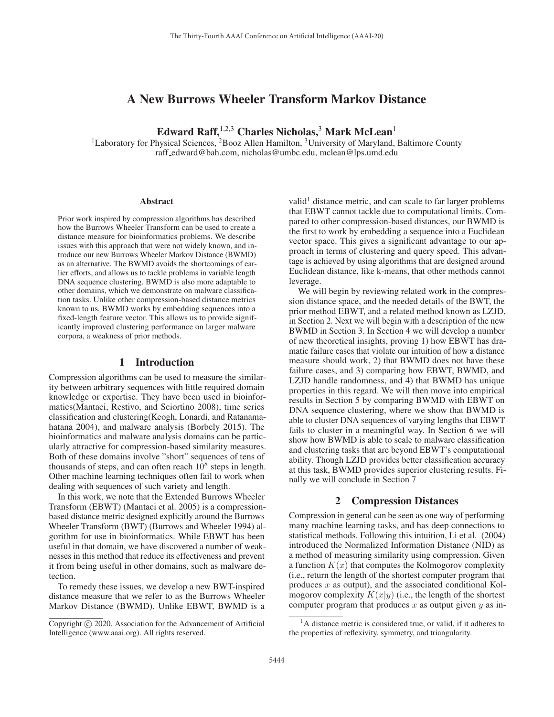# A New Burrows Wheeler Transform Markov Distance

Edward Raff,  $1,2,3$  Charles Nicholas,  $3$  Mark McLean<sup>1</sup>

<sup>1</sup>Laboratory for Physical Sciences, <sup>2</sup>Booz Allen Hamilton, <sup>3</sup>University of Maryland, Baltimore County raff edward@bah.com, nicholas@umbc.edu, mclean@lps.umd.edu

#### **Abstract**

Prior work inspired by compression algorithms has described how the Burrows Wheeler Transform can be used to create a distance measure for bioinformatics problems. We describe issues with this approach that were not widely known, and introduce our new Burrows Wheeler Markov Distance (BWMD) as an alternative. The BWMD avoids the shortcomings of earlier efforts, and allows us to tackle problems in variable length DNA sequence clustering. BWMD is also more adaptable to other domains, which we demonstrate on malware classification tasks. Unlike other compression-based distance metrics known to us, BWMD works by embedding sequences into a fixed-length feature vector. This allows us to provide significantly improved clustering performance on larger malware corpora, a weakness of prior methods.

# 1 Introduction

Compression algorithms can be used to measure the similarity between arbitrary sequences with little required domain knowledge or expertise. They have been used in bioinformatics(Mantaci, Restivo, and Sciortino 2008), time series classification and clustering(Keogh, Lonardi, and Ratanamahatana 2004), and malware analysis (Borbely 2015). The bioinformatics and malware analysis domains can be particularly attractive for compression-based similarity measures. Both of these domains involve "short" sequences of tens of thousands of steps, and can often reach  $10<sup>8</sup>$  steps in length. Other machine learning techniques often fail to work when dealing with sequences of such variety and length.

In this work, we note that the Extended Burrows Wheeler Transform (EBWT) (Mantaci et al. 2005) is a compressionbased distance metric designed explicitly around the Burrows Wheeler Transform (BWT) (Burrows and Wheeler 1994) algorithm for use in bioinformatics. While EBWT has been useful in that domain, we have discovered a number of weaknesses in this method that reduce its effectiveness and prevent it from being useful in other domains, such as malware detection.

To remedy these issues, we develop a new BWT-inspired distance measure that we refer to as the Burrows Wheeler Markov Distance (BWMD). Unlike EBWT, BWMD is a

valid<sup>1</sup> distance metric, and can scale to far larger problems that EBWT cannot tackle due to computational limits. Compared to other compression-based distances, our BWMD is the first to work by embedding a sequence into a Euclidean vector space. This gives a significant advantage to our approach in terms of clustering and query speed. This advantage is achieved by using algorithms that are designed around Euclidean distance, like k-means, that other methods cannot leverage.

We will begin by reviewing related work in the compression distance space, and the needed details of the BWT, the prior method EBWT, and a related method known as LZJD, in Section 2. Next we will begin with a description of the new BWMD in Section 3. In Section 4 we will develop a number of new theoretical insights, proving 1) how EBWT has dramatic failure cases that violate our intuition of how a distance measure should work, 2) that BWMD does not have these failure cases, and 3) comparing how EBWT, BWMD, and LZJD handle randomness, and 4) that BWMD has unique properties in this regard. We will then move into empirical results in Section 5 by comparing BWMD with EBWT on DNA sequence clustering, where we show that BWMD is able to cluster DNA sequences of varying lengths that EBWT fails to cluster in a meaningful way. In Section 6 we will show how BWMD is able to scale to malware classification and clustering tasks that are beyond EBWT's computational ability. Though LZJD provides better classification accuracy at this task, BWMD provides superior clustering results. Finally we will conclude in Section 7

#### 2 Compression Distances

Compression in general can be seen as one way of performing many machine learning tasks, and has deep connections to statistical methods. Following this intuition, Li et al. (2004) introduced the Normalized Information Distance (NID) as a method of measuring similarity using compression. Given a function  $K(x)$  that computes the Kolmogorov complexity (i.e., return the length of the shortest computer program that produces  $x$  as output), and the associated conditional Kolmogorov complexity  $K(x|y)$  (i.e., the length of the shortest computer program that produces  $x$  as output given  $y$  as in-

Copyright  $\odot$  2020, Association for the Advancement of Artificial Intelligence (www.aaai.org). All rights reserved.

<sup>&</sup>lt;sup>1</sup>A distance metric is considered true, or valid, if it adheres to the properties of reflexivity, symmetry, and triangularity.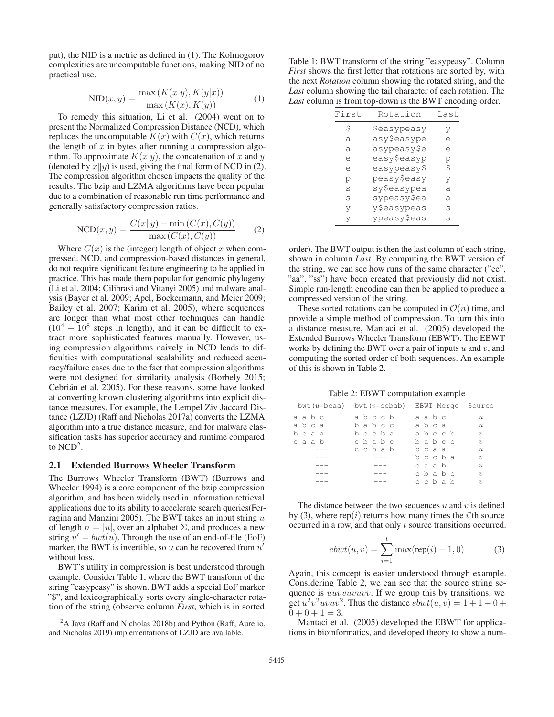put), the NID is a metric as defined in (1). The Kolmogorov complexities are uncomputable functions, making NID of no practical use.

$$
NID(x, y) = \frac{\max(K(x|y), K(y|x))}{\max(K(x), K(y))}
$$
 (1)  
To remedy this situation, Li et al. (2004) went on to

present the Normalized Compression Distance (NCD), which replaces the uncomputable  $K(x)$  with  $C(x)$ , which returns the length of  $x$  in bytes after running a compression algorithm. To approximate  $K(x|y)$ , the concatenation of x and y (denoted by  $x||y$ ) is used, giving the final form of NCD in (2). The compression algorithm chosen impacts the quality of the results. The bzip and LZMA algorithms have been popular due to a combination of reasonable run time performance and generally satisfactory compression ratios.

$$
NCD(x, y) = \frac{C(x||y) - \min(C(x), C(y))}{\max(C(x), C(y))}
$$
 (2)

Where  $C(x)$  is the (integer) length of object x when com-<br>essed NCD and compression-based distances in general pressed. NCD, and compression-based distances in general, do not require significant feature engineering to be applied in practice. This has made them popular for genomic phylogeny (Li et al. 2004; Cilibrasi and Vitanyi 2005) and malware analysis (Bayer et al. 2009; Apel, Bockermann, and Meier 2009; Bailey et al. 2007; Karim et al. 2005), where sequences are longer than what most other techniques can handle  $(10^4 - 10^8$  steps in length), and it can be difficult to extract more sophisticated features manually. However, using compression algorithms naively in NCD leads to difficulties with computational scalability and reduced accuracy/failure cases due to the fact that compression algorithms were not designed for similarity analysis (Borbely 2015; Cebrián et al. 2005). For these reasons, some have looked at converting known clustering algorithms into explicit distance measures. For example, the Lempel Ziv Jaccard Distance (LZJD) (Raff and Nicholas 2017a) converts the LZMA algorithm into a true distance measure, and for malware classification tasks has superior accuracy and runtime compared to  $NCD<sup>2</sup>$ .

#### 2.1 Extended Burrows Wheeler Transform

The Burrows Wheeler Transform (BWT) (Burrows and Wheeler 1994) is a core component of the bzip compression algorithm, and has been widely used in information retrieval applications due to its ability to accelerate search queries(Ferragina and Manzini 2005). The BWT takes an input string  $u$ of length  $n = |u|$ , over an alphabet  $\Sigma$ , and produces a new string  $u' = bwt(u)$ . Through the use of an end-of-file (EoF) marker the BWT is invertible so u can be recovered from u' marker, the BWT is invertible, so u can be recovered from  $u'$ without loss.

BWT's utility in compression is best understood through example. Consider Table 1, where the BWT transform of the string "easypeasy" is shown. BWT adds a special EoF marker "\$", and lexicographically sorts every single-character rotation of the string (observe column *First*, which is in sorted

Table 1: BWT transform of the string "easypeasy". Column *First* shows the first letter that rotations are sorted by, with the next *Rotation* column showing the rotated string, and the *Last* column showing the tail character of each rotation. The *Last* column is from top-down is the BWT encoding order.

| First | Rotation    | Last |
|-------|-------------|------|
| \$    | Şeasypeasy  | V    |
| a     | asy\$easype | e    |
| a     | asypeasy\$e | e    |
| e     | easy\$easyp | р    |
| e     | easypeasy\$ | \$   |
| p     | peasy\$easy | V    |
| S     | sy\$easypea | a    |
| S     | sypeasy\$ea | a    |
| V     | y\$easypeas | S    |
| V     | ypeasy\$eas | S    |
|       |             |      |

order). The BWT output is then the last column of each string, shown in column *Last*. By computing the BWT version of the string, we can see how runs of the same character ("ee", "aa", "ss") have been created that previously did not exist. Simple run-length encoding can then be applied to produce a compressed version of the string.

These sorted rotations can be computed in  $\mathcal{O}(n)$  time, and provide a simple method of compression. To turn this into a distance measure, Mantaci et al. (2005) developed the Extended Burrows Wheeler Transform (EBWT). The EBWT works by defining the BWT over a pair of inputs  $u$  and  $v$ , and computing the sorted order of both sequences. An example of this is shown in Table 2.

Table 2: EBWT computation example

|      | bwt $(u=bcaa)$ bwt $(v=ccbab)$ EBWT Merge Source |       |                  |
|------|--------------------------------------------------|-------|------------------|
| aabc | abccb                                            | aabc  | $\mathcal{U}$    |
| abca | babcc                                            | abca  | $\boldsymbol{u}$ |
| bcaa | bccba                                            | abccb | $\eta$           |
| caab | cbabc                                            | babcc | $\eta$           |
| ---  | cchab                                            | bcaa  | $\mathcal{U}$    |
| ___  | ___                                              | bccba | $\eta$           |
| ---  | ---                                              | caab  | $\mathcal{U}$    |
| ---  | ---                                              | cbabc | $\eta$           |
| ---  | ___                                              | ccbab | $\eta$           |
|      |                                                  |       |                  |

The distance between the two sequences  $u$  and  $v$  is defined by (3), where rep( $i$ ) returns how many times the  $i$ 'th source occurred in a row, and that only t source transitions occurred.

$$
ebwt(u, v) = \sum_{i=1}^{t} \max(\text{rep}(i) - 1, 0)
$$
 (3)

Again, this concept is easier understood through example. Considering Table 2, we can see that the source string sequence is *uuvvuvuvv*. If we group this by transitions, we get  $u^2v^2uvwv^2$ . Thus the distance  $ebwt(u, v)=1+1+0+$  $0+0+1=3.$ 

Mantaci et al. (2005) developed the EBWT for applications in bioinformatics, and developed theory to show a num-

<sup>&</sup>lt;sup>2</sup>A Java (Raff and Nicholas 2018b) and Python (Raff, Aurelio, and Nicholas 2019) implementations of LZJD are available.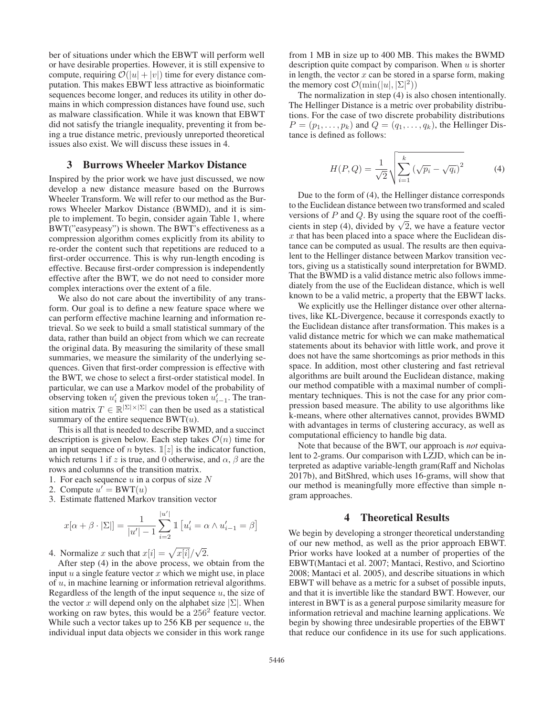ber of situations under which the EBWT will perform well or have desirable properties. However, it is still expensive to compute, requiring  $\mathcal{O}(|u| + |v|)$  time for every distance computation. This makes EBWT less attractive as bioinformatic sequences become longer, and reduces its utility in other domains in which compression distances have found use, such as malware classification. While it was known that EBWT did not satisfy the triangle inequality, preventing it from being a true distance metric, previously unreported theoretical issues also exist. We will discuss these issues in 4.

# 3 Burrows Wheeler Markov Distance

Inspired by the prior work we have just discussed, we now develop a new distance measure based on the Burrows Wheeler Transform. We will refer to our method as the Burrows Wheeler Markov Distance (BWMD), and it is simple to implement. To begin, consider again Table 1, where BWT("easypeasy") is shown. The BWT's effectiveness as a compression algorithm comes explicitly from its ability to re-order the content such that repetitions are reduced to a first-order occurrence. This is why run-length encoding is effective. Because first-order compression is independently effective after the BWT, we do not need to consider more complex interactions over the extent of a file.

We also do not care about the invertibility of any transform. Our goal is to define a new feature space where we can perform effective machine learning and information retrieval. So we seek to build a small statistical summary of the data, rather than build an object from which we can recreate the original data. By measuring the similarity of these small summaries, we measure the similarity of the underlying sequences. Given that first-order compression is effective with the BWT, we chose to select a first-order statistical model. In particular, we can use a Markov model of the probability of observing token  $u'_i$  given the previous token  $u'_{i-1}$ . The transition matrix  $T \in \mathbb{R}^{\vert \Sigma \vert \times \vert \Sigma \vert}$  can then be used as a statistical summary of the entire sequence  $BWT(u)$ .

This is all that is needed to describe BWMD, and a succinct description is given below. Each step takes  $\mathcal{O}(n)$  time for an input sequence of *n* bytes.  $\mathbb{I}[z]$  is the indicator function, which returns 1 if z is true, and 0 otherwise, and  $\alpha$ ,  $\beta$  are the rows and columns of the transition matrix.

- 1. For each sequence  $u$  in a corpus of size  $N$
- 2. Compute  $u' = BWT(u)$ <br>3. Estimate flattened Mark
- 3. Estimate flattened Markov transition vector

$$
x[\alpha + \beta \cdot |\Sigma|] = \frac{1}{|u'| - 1} \sum_{i=2}^{|u'|} \mathbb{1} [u'_i = \alpha \wedge u'_{i-1} = \beta]
$$

4. Normalize x such that  $x[i] = \sqrt{x[i]}/\sqrt{x^2+1}$  After step (4) in the above process we  $\frac{2}{2}$ .

After step (4) in the above process, we obtain from the input  $u$  a single feature vector  $x$  which we might use, in place of  $u$ , in machine learning or information retrieval algorithms. Regardless of the length of the input sequence  $u$ , the size of the vector x will depend only on the alphabet size  $|\Sigma|$ . When working on raw bytes, this would be a  $256<sup>2</sup>$  feature vector. While such a vector takes up to  $256$  KB per sequence  $u$ , the individual input data objects we consider in this work range

from 1 MB in size up to 400 MB. This makes the BWMD description quite compact by comparison. When  $u$  is shorter in length, the vector  $x$  can be stored in a sparse form, making the memory cost  $\mathcal{O}(\min(|u|, |\Sigma|^2))$ <br>The pormalization in step (4) is

The normalization in step  $(4)$  is also chosen intentionally. The Hellinger Distance is a metric over probability distributions. For the case of two discrete probability distributions  $P = (p_1, \ldots, p_k)$  and  $Q = (q_1, \ldots, q_k)$ , the Hellinger Distance is defined as follows:

$$
H(P,Q) = \frac{1}{\sqrt{2}} \sqrt{\sum_{i=1}^{k} (\sqrt{p_i} - \sqrt{q_i})^2}
$$
 (4)

Due to the form of (4), the Hellinger distance corresponds to the Euclidean distance between two transformed and scaled versions of  $P$  and  $Q$ . By using the square root of the coefficients in step (4), divided by  $\sqrt{2}$ , we have a feature vector  $x$  that has been placed into a space where the Euclidean distance can be computed as usual. The results are then equivalent to the Hellinger distance between Markov transition vectors, giving us a statistically sound interpretation for BWMD. That the BWMD is a valid distance metric also follows immediately from the use of the Euclidean distance, which is well known to be a valid metric, a property that the EBWT lacks.

We explicitly use the Hellinger distance over other alternatives, like KL-Divergence, because it corresponds exactly to the Euclidean distance after transformation. This makes is a valid distance metric for which we can make mathematical statements about its behavior with little work, and prove it does not have the same shortcomings as prior methods in this space. In addition, most other clustering and fast retrieval algorithms are built around the Euclidean distance, making our method compatible with a maximal number of complimentary techniques. This is not the case for any prior compression based measure. The ability to use algorithms like k-means, where other alternatives cannot, provides BWMD with advantages in terms of clustering accuracy, as well as computational efficiency to handle big data.

Note that because of the BWT, our approach is *not* equivalent to 2-grams. Our comparison with LZJD, which can be interpreted as adaptive variable-length gram(Raff and Nicholas 2017b), and BitShred, which uses 16-grams, will show that our method is meaningfully more effective than simple ngram approaches.

# 4 Theoretical Results

We begin by developing a stronger theoretical understanding of our new method, as well as the prior approach EBWT. Prior works have looked at a number of properties of the EBWT(Mantaci et al. 2007; Mantaci, Restivo, and Sciortino 2008; Mantaci et al. 2005), and describe situations in which EBWT will behave as a metric for a subset of possible inputs, and that it is invertible like the standard BWT. However, our interest in BWT is as a general purpose similarity measure for information retrieval and machine learning applications. We begin by showing three undesirable properties of the EBWT that reduce our confidence in its use for such applications.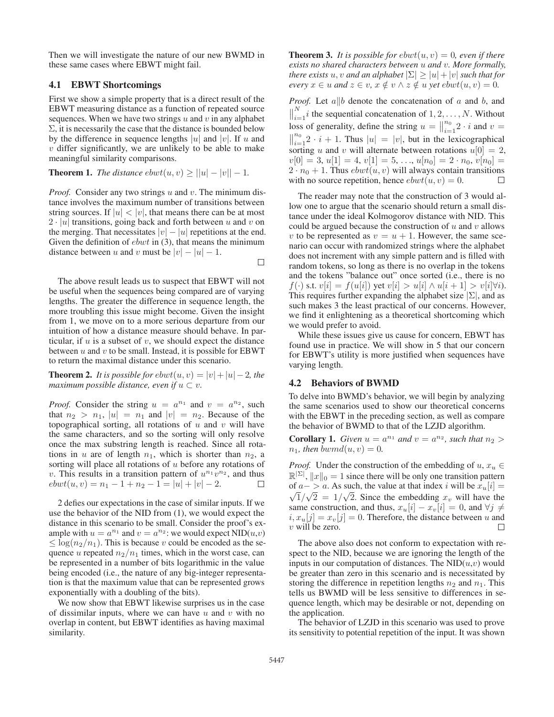Then we will investigate the nature of our new BWMD in these same cases where EBWT might fail.

## 4.1 EBWT Shortcomings

First we show a simple property that is a direct result of the EBWT measuring distance as a function of repeated source sequences. When we have two strings  $u$  and  $v$  in any alphabet  $\Sigma$ , it is necessarily the case that the distance is bounded below by the difference in sequence lengths |u| and |v|. If u and  $v$  differ significantly, we are unlikely to be able to make meaningful similarity comparisons.

**Theorem 1.** *The distance*  $ebwt(u, v) \ge ||u| - |v|| - 1$ .

*Proof.* Consider any two strings u and v. The minimum distance involves the maximum number of transitions between string sources. If  $|u| < |v|$ , that means there can be at most  $2 \cdot |u|$  transitions, going back and forth between u and v on the merging. That necessitates  $|v| - |u|$  repetitions at the end. Given the definition of  $ebwt$  in (3), that means the minimum distance between u and v must be  $|v| - |u| - 1$ .  $\Box$ 

The above result leads us to suspect that EBWT will not be useful when the sequences being compared are of varying lengths. The greater the difference in sequence length, the more troubling this issue might become. Given the insight from 1, we move on to a more serious departure from our intuition of how a distance measure should behave. In particular, if  $u$  is a subset of  $v$ , we should expect the distance between  $u$  and  $v$  to be small. Instead, it is possible for EBWT to return the maximal distance under this scenario.

**Theorem 2.** *It is possible for ebwt* $(u, v) = |v| + |u| - 2$ *, the maximum possible distance, even if*  $u \subset v$ .

*Proof.* Consider the string  $u = a^{n_1}$  and  $v = a^{n_2}$ , such that  $n_2 > n_1$ ,  $|u| = n_1$  and  $|v| = n_2$ . Because of the topographical sorting, all rotations of  $u$  and  $v$  will have the same characters, and so the sorting will only resolve once the max substring length is reached. Since all rotations in u are of length  $n_1$ , which is shorter than  $n_2$ , a sorting will place all rotations of  $u$  before any rotations of v. This results in a transition pattern of  $u^{n_1}v^{n_2}$ , and thus  $ebwt(u, v) = n_1 - 1 + n_2 - 1 = |u| + |v| - 2.$  $\Box$ 

2 defies our expectations in the case of similar inputs. If we use the behavior of the NID from (1), we would expect the distance in this scenario to be small. Consider the proof's example with  $u = a^{n_1}$  and  $v = a^{n_2}$ : we would expect NID( $u, v$ )  $\leq$  log( $n_2/n_1$ ). This is because v could be encoded as the sequence u repeated  $n_2/n_1$  times, which in the worst case, can be represented in a number of bits logarithmic in the value being encoded (i.e., the nature of any big-integer representation is that the maximum value that can be represented grows exponentially with a doubling of the bits).

We now show that EBWT likewise surprises us in the case of dissimilar inputs, where we can have  $u$  and  $v$  with no overlap in content, but EBWT identifies as having maximal similarity.

**Theorem 3.** It is possible for  $ebwt(u, v) = 0$ , even if there *exists no shared characters between* u *and* v*. More formally, there exists* u, v and an alphabet  $|\Sigma| \ge |u| + |v|$  *such that for every*  $x \in u$  *and*  $z \in v$ ,  $x \notin v \land z \notin u$  *yet*  $ebwt(u, v) = 0$ .

*Proof.* Let  $a||b$  denote the concatenation of a and b, and  $\parallel$  $\sum_{i=1}^{N} i$  the sequential concatenation of  $1, 2, ..., N$ . Without loss of generality, define the string  $u = \Big\|_{i=1}^{n_0} 2 \cdot i$  and  $v = \Big\|_{i=1}^{n_0} 2 \cdot i + 1$ . Thus  $|u| = |v|$ , but in the lexicographical  $\|\cdot\|_{i=1}^{n_0} 2 \cdot i + 1$ . Thus  $|u| = |v|$ , but in the lexicographical<br>sorting u and u will alternate between rotations  $u(0) = 2$ sorting u and v will alternate between rotations  $u[0] = 2$ ,  $v[0] = 3, u[1] = 4, v[1] = 5, ..., u[n_0] = 2 \cdot n_0, v[n_0] =$  $2 \cdot n_0 + 1$ . Thus *ebwt* $(u, v)$  will always contain transitions with no source repetition, hence *ebwt* $(u, v) = 0$ . with no source repetition, hence  $ebwt(u, v)=0$ .

The reader may note that the construction of 3 would allow one to argue that the scenario should return a small distance under the ideal Kolmogorov distance with NID. This could be argued because the construction of  $u$  and  $v$  allows v to be represented as  $v = u + 1$ . However, the same scenario can occur with randomized strings where the alphabet does not increment with any simple pattern and is filled with random tokens, so long as there is no overlap in the tokens and the tokens "balance out" once sorted (i.e., there is no  $f(\cdot)$  s.t.  $v[i] = f(u[i])$  yet  $v[i] > u[i] \wedge u[i+1] > v[i]\forall i$ . This requires further expanding the alphabet size  $|\Sigma|$ , and as such makes 3 the least practical of our concerns. However, we find it enlightening as a theoretical shortcoming which we would prefer to avoid.

While these issues give us cause for concern, EBWT has found use in practice. We will show in 5 that our concern for EBWT's utility is more justified when sequences have varying length.

## 4.2 Behaviors of BWMD

To delve into BWMD's behavior, we will begin by analyzing the same scenarios used to show our theoretical concerns with the EBWT in the preceding section, as well as compare the behavior of BWMD to that of the LZJD algorithm.

**Corollary 1.** *Given*  $u = a^{n_1}$  *and*  $v = a^{n_2}$ *, such that*  $n_2 > a^{n_2}$  $n_1$ *, then* bwmd $(u, v) = 0$ .

*Proof.* Under the construction of the embedding of  $u, x_u \in$  $\mathbb{R}^{|\Sigma|}$ ,  $||x||_0 = 1$  since there will be only one transition pattern<br>of  $a \to a$ . As such the value at that index i will be  $x$ ,  $[i] =$ of  $a - > a$ . As such, the value at that index i will be  $x_u[i] = \sqrt{1/\sqrt{2}} = 1/\sqrt{2}$ . Since the embedding x, will be ve the  $\overline{1}/\sqrt{2} = 1/\sqrt{2}$ . Since the embedding  $x_v$  will have the me construction and thus  $x_v[i] - x_v[i] = 0$  and  $\forall i \neq j$ same construction, and thus,  $x_u[i] - x_v[i] = 0$ , and  $\forall j \neq$  $i, x_u[j] = x_v[j] = 0$ . Therefore, the distance between u and<br>
v will be zero  $v$  will be zero.

The above also does not conform to expectation with respect to the NID, because we are ignoring the length of the inputs in our computation of distances. The  $NID(u,v)$  would be greater than zero in this scenario and is necessitated by storing the difference in repetition lengths  $n_2$  and  $n_1$ . This tells us BWMD will be less sensitive to differences in sequence length, which may be desirable or not, depending on the application.

The behavior of LZJD in this scenario was used to prove its sensitivity to potential repetition of the input. It was shown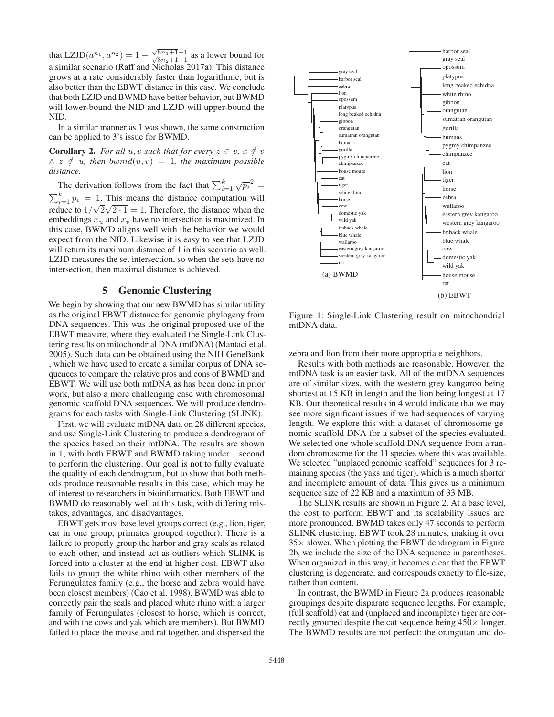that LZJD $(a^{n_1}, a^{n_2}) = 1 - \frac{\sqrt{8n_1+1}-1}{\sqrt{8n_2+1}-1}$  as a lower bound for a similar scenario (Raff and Nicholas 2017a). This distance grows at a rate considerably faster than logarithmic, but is also better than the EBWT distance in this case. We conclude that both LZJD and BWMD have better behavior, but BWMD will lower-bound the NID and LZJD will upper-bound the NID.

In a similar manner as 1 was shown, the same construction can be applied to 3's issue for BWMD.

**Corollary 2.** *For all*  $u, v$  *such that for every*  $z \in v, x \notin v$  $\land z \notin u$ , then  $bwnd(u, v) = 1$ , the maximum possible *distance.*

The derivation follows from the fact that  $\sum_{i=1}^{k} \sqrt{p_i}^2$  $\sum_{i=1}^{k} p_i = 1$ . This means the distance computation will<br>reduce to  $1/\sqrt{2}$ ,  $\sqrt{2}-1$  and  $\sum$  Therefore, the distance when the reduce to  $1/\sqrt{2}\sqrt{2\cdot 1} = 1$ . Therefore, the distance when the embeddings  $x_n$  and  $x_n$  have no intersection is maximized. In embeddings  $x_u$  and  $x_v$  have no intersection is maximized. In this case, BWMD aligns well with the behavior we would expect from the NID. Likewise it is easy to see that LZJD will return its maximum distance of 1 in this scenario as well. LZJD measures the set intersection, so when the sets have no intersection, then maximal distance is achieved.

# 5 Genomic Clustering

We begin by showing that our new BWMD has similar utility as the original EBWT distance for genomic phylogeny from DNA sequences. This was the original proposed use of the EBWT measure, where they evaluated the Single-Link Clustering results on mitochondrial DNA (mtDNA) (Mantaci et al. 2005). Such data can be obtained using the NIH GeneBank , which we have used to create a similar corpus of DNA sequences to compare the relative pros and cons of BWMD and EBWT. We will use both mtDNA as has been done in prior work, but also a more challenging case with chromosomal genomic scaffold DNA sequences. We will produce dendrograms for each tasks with Single-Link Clustering (SLINK).

First, we will evaluate mtDNA data on 28 different species, and use Single-Link Clustering to produce a dendrogram of the species based on their mtDNA. The results are shown in 1, with both EBWT and BWMD taking under 1 second to perform the clustering. Our goal is not to fully evaluate the quality of each dendrogram, but to show that both methods produce reasonable results in this case, which may be of interest to researchers in bioinformatics. Both EBWT and BWMD do reasonably well at this task, with differing mistakes, advantages, and disadvantages.

EBWT gets most base level groups correct (e.g., lion, tiger, cat in one group, primates grouped together). There is a failure to properly group the harbor and gray seals as related to each other, and instead act as outliers which SLINK is forced into a cluster at the end at higher cost. EBWT also fails to group the white rhino with other members of the Ferungulates family (e.g., the horse and zebra would have been closest members) (Cao et al. 1998). BWMD was able to correctly pair the seals and placed white rhino with a larger family of Ferungulates (closest to horse, which is correct, and with the cows and yak which are members). But BWMD failed to place the mouse and rat together, and dispersed the



Figure 1: Single-Link Clustering result on mitochondrial mtDNA data.

zebra and lion from their more appropriate neighbors.

Results with both methods are reasonable. However, the mtDNA task is an easier task. All of the mtDNA sequences are of similar sizes, with the western grey kangaroo being shortest at 15 KB in length and the lion being longest at 17 KB. Our theoretical results in 4 would indicate that we may see more significant issues if we had sequences of varying length. We explore this with a dataset of chromosome genomic scaffold DNA for a subset of the species evaluated. We selected one whole scaffold DNA sequence from a random chromosome for the 11 species where this was available. We selected "unplaced genomic scaffold" sequences for 3 remaining species (the yaks and tiger), which is a much shorter and incomplete amount of data. This gives us a minimum sequence size of 22 KB and a maximum of 33 MB.

The SLINK results are shown in Figure 2. At a base level, the cost to perform EBWT and its scalability issues are more pronounced. BWMD takes only 47 seconds to perform SLINK clustering. EBWT took 28 minutes, making it over  $35\times$  slower. When plotting the EBWT dendrogram in Figure 2b, we include the size of the DNA sequence in parentheses. When organized in this way, it becomes clear that the EBWT clustering is degenerate, and corresponds exactly to file-size, rather than content.

In contrast, the BWMD in Figure 2a produces reasonable groupings despite disparate sequence lengths. For example, (full scaffold) cat and (unplaced and incomplete) tiger are correctly grouped despite the cat sequence being  $450\times$  longer. The BWMD results are not perfect: the orangutan and do-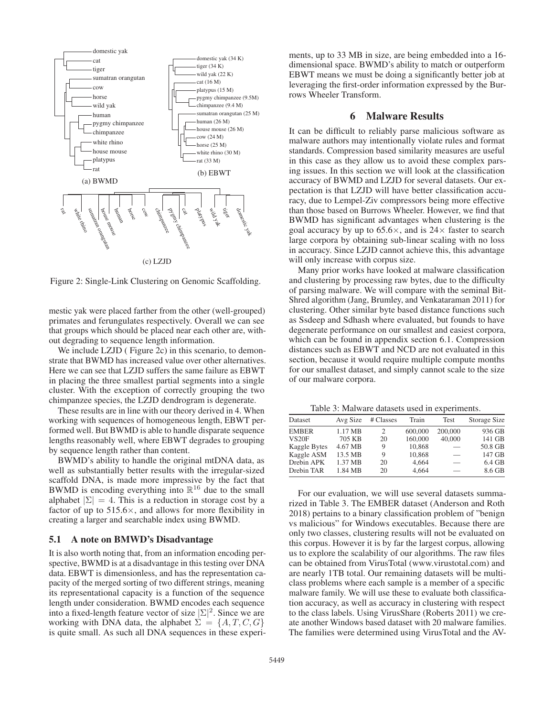

Figure 2: Single-Link Clustering on Genomic Scaffolding.

mestic yak were placed farther from the other (well-grouped) primates and ferungulates respectively. Overall we can see that groups which should be placed near each other are, without degrading to sequence length information.

We include LZJD (Figure 2c) in this scenario, to demonstrate that BWMD has increased value over other alternatives. Here we can see that LZJD suffers the same failure as EBWT in placing the three smallest partial segments into a single cluster. With the exception of correctly grouping the two chimpanzee species, the LZJD dendrogram is degenerate.

These results are in line with our theory derived in 4. When working with sequences of homogeneous length, EBWT performed well. But BWMD is able to handle disparate sequence lengths reasonably well, where EBWT degrades to grouping by sequence length rather than content.

BWMD's ability to handle the original mtDNA data, as well as substantially better results with the irregular-sized scaffold DNA, is made more impressive by the fact that BWMD is encoding everything into  $\mathbb{R}^{16}$  due to the small alphabet  $|\Sigma| = 4$ . This is a reduction in storage cost by a factor of up to  $515.6\times$ , and allows for more flexibility in creating a larger and searchable index using BWMD.

#### 5.1 A note on BMWD's Disadvantage

It is also worth noting that, from an information encoding perspective, BWMD is at a disadvantage in this testing over DNA data. EBWT is dimensionless, and has the representation capacity of the merged sorting of two different strings, meaning its representational capacity is a function of the sequence length under consideration. BWMD encodes each sequence into a fixed-length feature vector of size  $|\Sigma|^2$ . Since we are<br>working with DNA data, the alphabet  $\Sigma = \{A \mid T \cap G\}$ working with DNA data, the alphabet  $\Sigma = \{A, T, C, G\}$ is quite small. As such all DNA sequences in these experiments, up to 33 MB in size, are being embedded into a 16 dimensional space. BWMD's ability to match or outperform EBWT means we must be doing a significantly better job at leveraging the first-order information expressed by the Burrows Wheeler Transform.

#### 6 Malware Results

It can be difficult to reliably parse malicious software as malware authors may intentionally violate rules and format standards. Compression based similarity measures are useful in this case as they allow us to avoid these complex parsing issues. In this section we will look at the classification accuracy of BWMD and LZJD for several datasets. Our expectation is that LZJD will have better classification accuracy, due to Lempel-Ziv compressors being more effective than those based on Burrows Wheeler. However, we find that BWMD has significant advantages when clustering is the goal accuracy by up to  $65.6 \times$ , and is  $24 \times$  faster to search large corpora by obtaining sub-linear scaling with no loss in accuracy. Since LZJD cannot achieve this, this advantage will only increase with corpus size.

Many prior works have looked at malware classification and clustering by processing raw bytes, due to the difficulty of parsing malware. We will compare with the seminal Bit-Shred algorithm (Jang, Brumley, and Venkataraman 2011) for clustering. Other similar byte based distance functions such as Ssdeep and Sdhash where evaluated, but founds to have degenerate performance on our smallest and easiest corpora, which can be found in appendix section 6.1. Compression distances such as EBWT and NCD are not evaluated in this section, because it would require multiple compute months for our smallest dataset, and simply cannot scale to the size of our malware corpora.

Table 3: Malware datasets used in experiments.

| Dataset           | Avg Size          | # Classes | Train   | Test    | Storage Size |
|-------------------|-------------------|-----------|---------|---------|--------------|
| <b>EMBER</b>      | $1.17 \text{ MB}$ | 2         | 600,000 | 200,000 | 936 GB       |
| VS <sub>20F</sub> | 705 KB            | 20        | 160,000 | 40,000  | 141 GB       |
| Kaggle Bytes      | 4.67 MB           | 9         | 10.868  |         | 50.8 GB      |
| Kaggle ASM        | 13.5 MB           | 9         | 10,868  |         | 147 GB       |
| Drebin APK        | 1.37 MB           | 20        | 4,664   |         | $6.4$ GB     |
| Drebin TAR        | 1.84 MB           | 20        | 4.664   |         | 8.6 GB       |
|                   |                   |           |         |         |              |

For our evaluation, we will use several datasets summarized in Table 3. The EMBER dataset (Anderson and Roth 2018) pertains to a binary classification problem of "benign vs malicious" for Windows executables. Because there are only two classes, clustering results will not be evaluated on this corpus. However it is by far the largest corpus, allowing us to explore the scalability of our algorithms. The raw files can be obtained from VirusTotal (www.virustotal.com) and are nearly 1TB total. Our remaining datasets will be multiclass problems where each sample is a member of a specific malware family. We will use these to evaluate both classification accuracy, as well as accuracy in clustering with respect to the class labels. Using VirusShare (Roberts 2011) we create another Windows based dataset with 20 malware families. The families were determined using VirusTotal and the AV-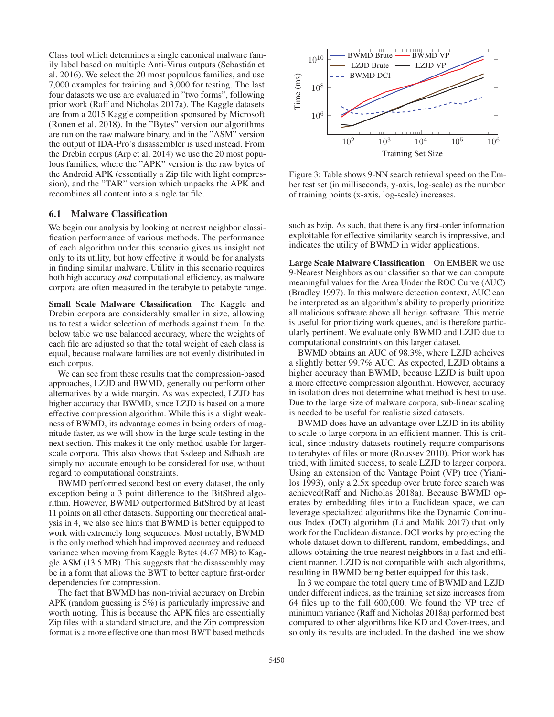Class tool which determines a single canonical malware family label based on multiple Anti-Virus outputs (Sebastian et ´ al. 2016). We select the 20 most populous families, and use 7,000 examples for training and 3,000 for testing. The last four datasets we use are evaluated in "two forms", following prior work (Raff and Nicholas 2017a). The Kaggle datasets are from a 2015 Kaggle competition sponsored by Microsoft (Ronen et al. 2018). In the "Bytes" version our algorithms are run on the raw malware binary, and in the "ASM" version the output of IDA-Pro's disassembler is used instead. From the Drebin corpus (Arp et al. 2014) we use the 20 most populous families, where the "APK" version is the raw bytes of the Android APK (essentially a Zip file with light compression), and the "TAR" version which unpacks the APK and recombines all content into a single tar file.

#### 6.1 Malware Classification

We begin our analysis by looking at nearest neighbor classification performance of various methods. The performance of each algorithm under this scenario gives us insight not only to its utility, but how effective it would be for analysts in finding similar malware. Utility in this scenario requires both high accuracy *and* computational efficiency, as malware corpora are often measured in the terabyte to petabyte range.

Small Scale Malware Classification The Kaggle and Drebin corpora are considerably smaller in size, allowing us to test a wider selection of methods against them. In the below table we use balanced accuracy, where the weights of each file are adjusted so that the total weight of each class is equal, because malware families are not evenly distributed in each corpus.

We can see from these results that the compression-based approaches, LZJD and BWMD, generally outperform other alternatives by a wide margin. As was expected, LZJD has higher accuracy that BWMD, since LZJD is based on a more effective compression algorithm. While this is a slight weakness of BWMD, its advantage comes in being orders of magnitude faster, as we will show in the large scale testing in the next section. This makes it the only method usable for largerscale corpora. This also shows that Ssdeep and Sdhash are simply not accurate enough to be considered for use, without regard to computational constraints.

BWMD performed second best on every dataset, the only exception being a 3 point difference to the BitShred algorithm. However, BWMD outperformed BitShred by at least 11 points on all other datasets. Supporting our theoretical analysis in 4, we also see hints that BWMD is better equipped to work with extremely long sequences. Most notably, BWMD is the only method which had improved accuracy and reduced variance when moving from Kaggle Bytes (4.67 MB) to Kaggle ASM (13.5 MB). This suggests that the disassembly may be in a form that allows the BWT to better capture first-order dependencies for compression.

The fact that BWMD has non-trivial accuracy on Drebin APK (random guessing is 5%) is particularly impressive and worth noting. This is because the APK files are essentially Zip files with a standard structure, and the Zip compression format is a more effective one than most BWT based methods



Figure 3: Table shows 9-NN search retrieval speed on the Ember test set (in milliseconds, y-axis, log-scale) as the number of training points (x-axis, log-scale) increases.

such as bzip. As such, that there is any first-order information exploitable for effective similarity search is impressive, and indicates the utility of BWMD in wider applications.

Large Scale Malware Classification On EMBER we use 9-Nearest Neighbors as our classifier so that we can compute meaningful values for the Area Under the ROC Curve (AUC) (Bradley 1997). In this malware detection context, AUC can be interpreted as an algorithm's ability to properly prioritize all malicious software above all benign software. This metric is useful for prioritizing work queues, and is therefore particularly pertinent. We evaluate only BWMD and LZJD due to computational constraints on this larger dataset.

BWMD obtains an AUC of 98.3%, where LZJD acheives a slightly better 99.7% AUC. As expected, LZJD obtains a higher accuracy than BWMD, because LZJD is built upon a more effective compression algorithm. However, accuracy in isolation does not determine what method is best to use. Due to the large size of malware corpora, sub-linear scaling is needed to be useful for realistic sized datasets.

BWMD does have an advantage over LZJD in its ability to scale to large corpora in an efficient manner. This is critical, since industry datasets routinely require comparisons to terabytes of files or more (Roussev 2010). Prior work has tried, with limited success, to scale LZJD to larger corpora. Using an extension of the Vantage Point (VP) tree (Yianilos 1993), only a 2.5x speedup over brute force search was achieved(Raff and Nicholas 2018a). Because BWMD operates by embedding files into a Euclidean space, we can leverage specialized algorithms like the Dynamic Continuous Index (DCI) algorithm (Li and Malik 2017) that only work for the Euclidean distance. DCI works by projecting the whole dataset down to different, random, embeddings, and allows obtaining the true nearest neighbors in a fast and efficient manner. LZJD is not compatible with such algorithms, resulting in BWMD being better equipped for this task.

In 3 we compare the total query time of BWMD and LZJD under different indices, as the training set size increases from 64 files up to the full 600,000. We found the VP tree of minimum variance (Raff and Nicholas 2018a) performed best compared to other algorithms like KD and Cover-trees, and so only its results are included. In the dashed line we show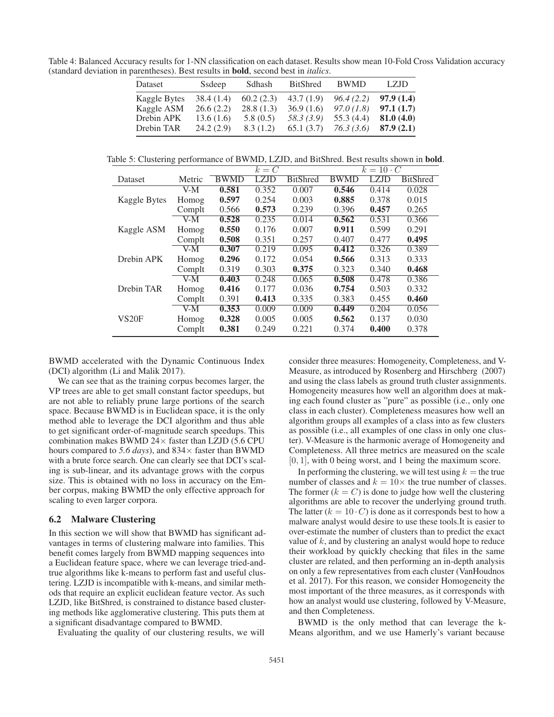Table 4: Balanced Accuracy results for 1-NN classification on each dataset. Results show mean 10-Fold Cross Validation accuracy (standard deviation in parentheses). Best results in bold, second best in *italics*.

| Dataset      | Ssdeep     | Sdhash    | <b>BitShred</b> | <b>BWMD</b> | LZJD      |
|--------------|------------|-----------|-----------------|-------------|-----------|
| Kaggle Bytes | 38.4 (1.4) | 60.2(2.3) | 43.7(1.9)       | 96.4(2.2)   | 97.9(1.4) |
| Kaggle ASM   | 26.6(2.2)  | 28.8(1.3) | 36.9(1.6)       | 97.0(1.8)   | 97.1(1.7) |
| Drebin APK   | 13.6(1.6)  | 5.8(0.5)  | 58.3 (3.9)      | 55.3 (4.4)  | 81.0(4.0) |
| Drebin TAR   | 24.2(2.9)  | 8.3(1.2)  | 65.1(3.7)       | 76.3(3.6)   | 87.9(2.1) |

Table 5: Clustering performance of BWMD, LZJD, and BitShred. Best results shown in **bold**.

|                     | - -                             |             | $k = C$     |                 |             | $k=10 \cdot C$ |                 |  |  |
|---------------------|---------------------------------|-------------|-------------|-----------------|-------------|----------------|-----------------|--|--|
| Dataset             | Metric                          | <b>BWMD</b> | <b>LZJD</b> | <b>BitShred</b> | <b>BWMD</b> | LZJD           | <b>BitShred</b> |  |  |
|                     | V-M                             | 0.581       | 0.352       | 0.007           | 0.546       | 0.414          | 0.028           |  |  |
| <b>Kaggle Bytes</b> | Homog                           | 0.597       | 0.254       | 0.003           | 0.885       | 0.378          | 0.015           |  |  |
|                     | Complt                          | 0.566       | 0.573       | 0.239           | 0.396       | 0.457          | 0.265           |  |  |
|                     | $V-M$                           | 0.528       | 0.235       | 0.014           | 0.562       | 0.531          | 0.366           |  |  |
| Kaggle ASM          | Homog                           | 0.550       | 0.176       | 0.007           | 0.911       | 0.599          | 0.291           |  |  |
|                     | Complt                          | 0.508       | 0.351       | 0.257           | 0.407       | 0.477          | 0.495           |  |  |
|                     | V-M                             | 0.307       | 0.219       | 0.095           | 0.412       | 0.326          | 0.389           |  |  |
| Drebin APK          | Homog                           | 0.296       | 0.172       | 0.054           | 0.566       | 0.313          | 0.333           |  |  |
|                     | Complt                          | 0.319       | 0.303       | 0.375           | 0.323       | 0.340          | 0.468           |  |  |
|                     | $\overline{V}$ - $\overline{M}$ | 0.403       | 0.248       | 0.065           | 0.508       | 0.478          | 0.386           |  |  |
| Drebin TAR          | Homog                           | 0.416       | 0.177       | 0.036           | 0.754       | 0.503          | 0.332           |  |  |
|                     | Complt                          | 0.391       | 0.413       | 0.335           | 0.383       | 0.455          | 0.460           |  |  |
|                     | V-M                             | 0.353       | 0.009       | 0.009           | 0.449       | 0.204          | 0.056           |  |  |
| <b>VS20F</b>        | Homog                           | 0.328       | 0.005       | 0.005           | 0.562       | 0.137          | 0.030           |  |  |
|                     | Complt                          | 0.381       | 0.249       | 0.221           | 0.374       | 0.400          | 0.378           |  |  |

BWMD accelerated with the Dynamic Continuous Index (DCI) algorithm (Li and Malik 2017).

We can see that as the training corpus becomes larger, the VP trees are able to get small constant factor speedups, but are not able to reliably prune large portions of the search space. Because BWMD is in Euclidean space, it is the only method able to leverage the DCI algorithm and thus able to get significant order-of-magnitude search speedups. This combination makes BWMD  $24 \times$  faster than LZJD (5.6 CPU hours compared to 5.6 days), and  $834\times$  faster than BWMD with a brute force search. One can clearly see that DCI's scaling is sub-linear, and its advantage grows with the corpus size. This is obtained with no loss in accuracy on the Ember corpus, making BWMD the only effective approach for scaling to even larger corpora.

## 6.2 Malware Clustering

In this section we will show that BWMD has significant advantages in terms of clustering malware into families. This benefit comes largely from BWMD mapping sequences into a Euclidean feature space, where we can leverage tried-andtrue algorithms like k-means to perform fast and useful clustering. LZJD is incompatible with k-means, and similar methods that require an explicit euclidean feature vector. As such LZJD, like BitShred, is constrained to distance based clustering methods like agglomerative clustering. This puts them at a significant disadvantage compared to BWMD.

Evaluating the quality of our clustering results, we will

consider three measures: Homogeneity, Completeness, and V-Measure, as introduced by Rosenberg and Hirschberg (2007) and using the class labels as ground truth cluster assignments. Homogeneity measures how well an algorithm does at making each found cluster as "pure" as possible (i.e., only one class in each cluster). Completeness measures how well an algorithm groups all examples of a class into as few clusters as possible (i.e., all examples of one class in only one cluster). V-Measure is the harmonic average of Homogeneity and Completeness. All three metrics are measured on the scale [0, 1], with 0 being worst, and 1 being the maximum score.

In performing the clustering, we will test using  $k =$  the true number of classes and  $k = 10 \times$  the true number of classes. The former  $(k = C)$  is done to judge how well the clustering algorithms are able to recover the underlying ground truth. The latter  $(k = 10 \cdot C)$  is done as it corresponds best to how a malware analyst would desire to use these tools.It is easier to over-estimate the number of clusters than to predict the exact value of  $k$ , and by clustering an analyst would hope to reduce their workload by quickly checking that files in the same cluster are related, and then performing an in-depth analysis on only a few representatives from each cluster (VanHoudnos et al. 2017). For this reason, we consider Homogeneity the most important of the three measures, as it corresponds with how an analyst would use clustering, followed by V-Measure, and then Completeness.

BWMD is the only method that can leverage the k-Means algorithm, and we use Hamerly's variant because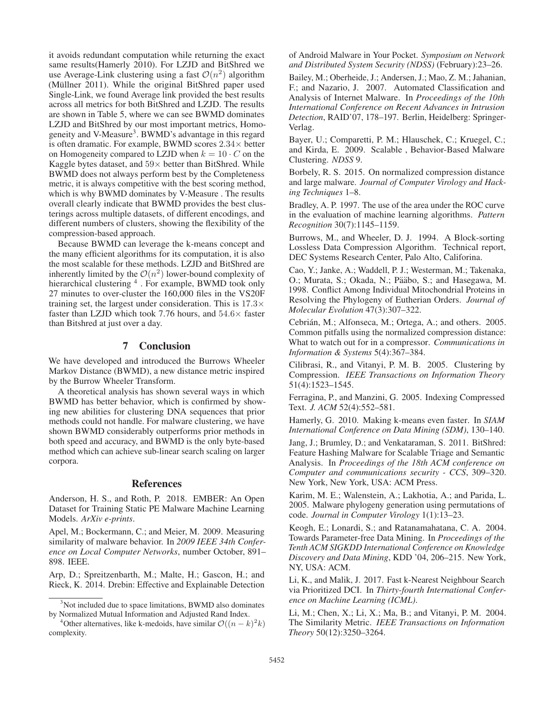it avoids redundant computation while returning the exact same results(Hamerly 2010). For LZJD and BitShred we use Average-Link clustering using a fast  $\mathcal{O}(n^2)$  algorithm (Müllner 2011). While the original BitShred paper used Single-Link, we found Average link provided the best results across all metrics for both BitShred and LZJD. The results are shown in Table 5, where we can see BWMD dominates LZJD and BitShred by our most important metrics, Homogeneity and V-Measure<sup>3</sup>. BWMD's advantage in this regard is often dramatic. For example, BWMD scores  $2.34\times$  better on Homogeneity compared to LZJD when  $k = 10 \cdot C$  on the Kaggle bytes dataset, and  $59\times$  better than BitShred. While BWMD does not always perform best by the Completeness metric, it is always competitive with the best scoring method, which is why BWMD dominates by V-Measure . The results overall clearly indicate that BWMD provides the best clusterings across multiple datasets, of different encodings, and different numbers of clusters, showing the flexibility of the compression-based approach.

Because BWMD can leverage the k-means concept and the many efficient algorithms for its computation, it is also the most scalable for these methods. LZJD and BitShred are inherently limited by the  $\mathcal{O}(n^2)$  lower-bound complexity of hierarchical clustering <sup>4</sup>. For example, BWMD took only 27 minutes to over-cluster the 160,000 files in the VS20F training set, the largest under consideration. This is  $17.3\times$ faster than LZJD which took 7.76 hours, and  $54.6\times$  faster than Bitshred at just over a day.

# 7 Conclusion

We have developed and introduced the Burrows Wheeler Markov Distance (BWMD), a new distance metric inspired by the Burrow Wheeler Transform.

A theoretical analysis has shown several ways in which BWMD has better behavior, which is confirmed by showing new abilities for clustering DNA sequences that prior methods could not handle. For malware clustering, we have shown BWMD considerably outperforms prior methods in both speed and accuracy, and BWMD is the only byte-based method which can achieve sub-linear search scaling on larger corpora.

# References

Anderson, H. S., and Roth, P. 2018. EMBER: An Open Dataset for Training Static PE Malware Machine Learning Models. *ArXiv e-prints*.

Apel, M.; Bockermann, C.; and Meier, M. 2009. Measuring similarity of malware behavior. In *2009 IEEE 34th Conference on Local Computer Networks*, number October, 891– 898. IEEE.

Arp, D.; Spreitzenbarth, M.; Malte, H.; Gascon, H.; and Rieck, K. 2014. Drebin: Effective and Explainable Detection of Android Malware in Your Pocket. *Symposium on Network and Distributed System Security (NDSS)* (February):23–26.

Bailey, M.; Oberheide, J.; Andersen, J.; Mao, Z. M.; Jahanian, F.; and Nazario, J. 2007. Automated Classification and Analysis of Internet Malware. In *Proceedings of the 10th International Conference on Recent Advances in Intrusion Detection*, RAID'07, 178–197. Berlin, Heidelberg: Springer-Verlag.

Bayer, U.; Comparetti, P. M.; Hlauschek, C.; Kruegel, C.; and Kirda, E. 2009. Scalable , Behavior-Based Malware Clustering. *NDSS* 9.

Borbely, R. S. 2015. On normalized compression distance and large malware. *Journal of Computer Virology and Hacking Techniques* 1–8.

Bradley, A. P. 1997. The use of the area under the ROC curve in the evaluation of machine learning algorithms. *Pattern Recognition* 30(7):1145–1159.

Burrows, M., and Wheeler, D. J. 1994. A Block-sorting Lossless Data Compression Algorithm. Technical report, DEC Systems Research Center, Palo Alto, Califorina.

Cao, Y.; Janke, A.; Waddell, P. J.; Westerman, M.; Takenaka, O.; Murata, S.; Okada, N.; Pääbo, S.; and Hasegawa, M. 1998. Conflict Among Individual Mitochondrial Proteins in Resolving the Phylogeny of Eutherian Orders. *Journal of Molecular Evolution* 47(3):307–322.

Cebrián, M.; Alfonseca, M.; Ortega, A.; and others. 2005. Common pitfalls using the normalized compression distance: What to watch out for in a compressor. *Communications in Information & Systems* 5(4):367–384.

Cilibrasi, R., and Vitanyi, P. M. B. 2005. Clustering by Compression. *IEEE Transactions on Information Theory* 51(4):1523–1545.

Ferragina, P., and Manzini, G. 2005. Indexing Compressed Text. *J. ACM* 52(4):552–581.

Hamerly, G. 2010. Making k-means even faster. In *SIAM International Conference on Data Mining (SDM)*, 130–140.

Jang, J.; Brumley, D.; and Venkataraman, S. 2011. BitShred: Feature Hashing Malware for Scalable Triage and Semantic Analysis. In *Proceedings of the 18th ACM conference on Computer and communications security - CCS*, 309–320. New York, New York, USA: ACM Press.

Karim, M. E.; Walenstein, A.; Lakhotia, A.; and Parida, L. 2005. Malware phylogeny generation using permutations of code. *Journal in Computer Virology* 1(1):13–23.

Keogh, E.; Lonardi, S.; and Ratanamahatana, C. A. 2004. Towards Parameter-free Data Mining. In *Proceedings of the Tenth ACM SIGKDD International Conference on Knowledge Discovery and Data Mining*, KDD '04, 206–215. New York, NY, USA: ACM.

Li, K., and Malik, J. 2017. Fast k-Nearest Neighbour Search via Prioritized DCI. In *Thirty-fourth International Conference on Machine Learning (ICML)*.

Li, M.; Chen, X.; Li, X.; Ma, B.; and Vitanyi, P. M. 2004. The Similarity Metric. *IEEE Transactions on Information Theory* 50(12):3250–3264.

<sup>&</sup>lt;sup>3</sup>Not included due to space limitations, BWMD also dominates by Normalized Mutual Information and Adjusted Rand Index.

<sup>&</sup>lt;sup>4</sup>Other alternatives, like k-medoids, have similar  $\mathcal{O}((n-k)^2k)$ complexity.